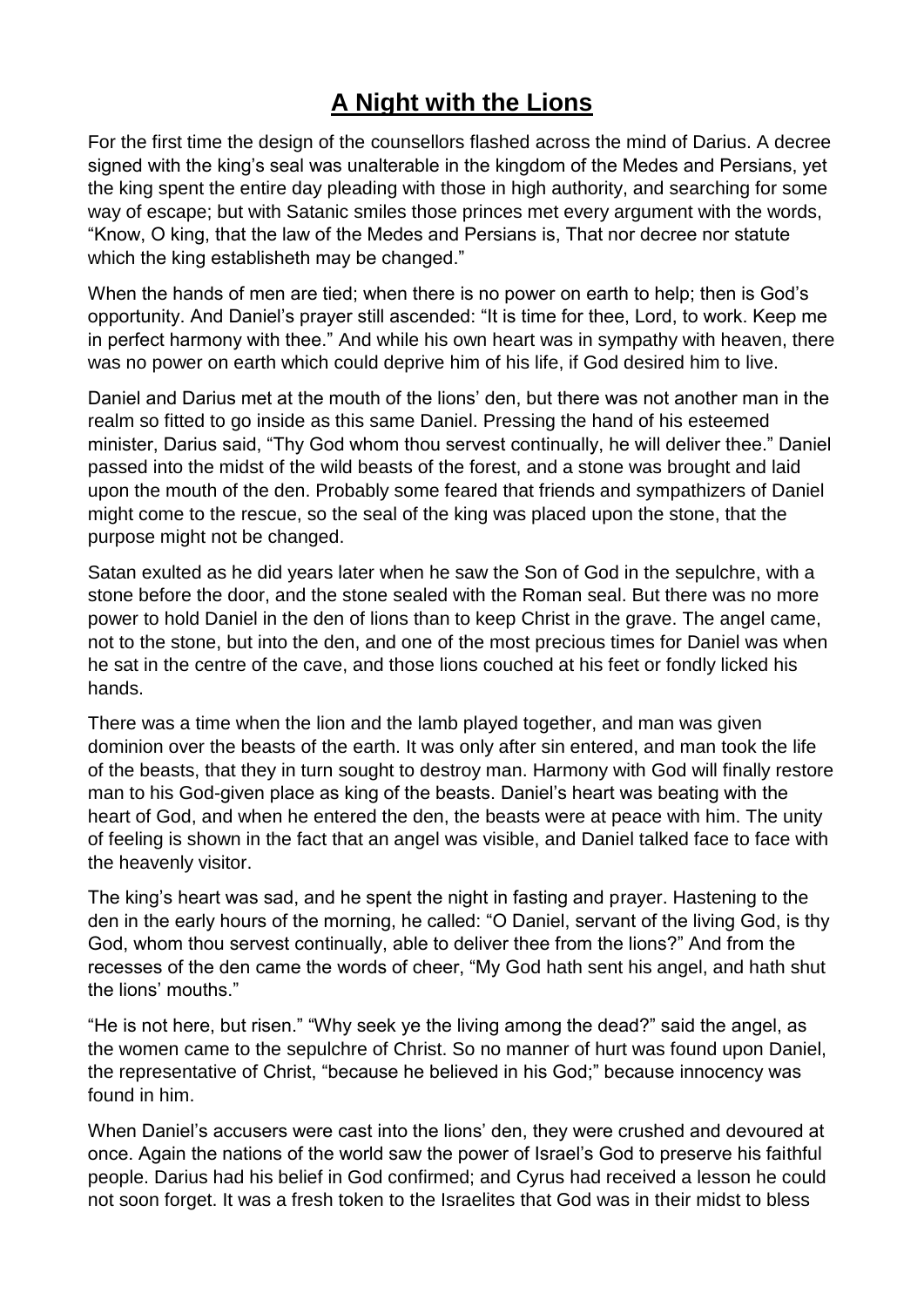# **A Night with the Lions**

For the first time the design of the counsellors flashed across the mind of Darius. A decree signed with the king's seal was unalterable in the kingdom of the Medes and Persians, yet the king spent the entire day pleading with those in high authority, and searching for some way of escape; but with Satanic smiles those princes met every argument with the words, "Know, O king, that the law of the Medes and Persians is, That nor decree nor statute which the king establisheth may be changed."

When the hands of men are tied; when there is no power on earth to help; then is God's opportunity. And Daniel's prayer still ascended: "It is time for thee, Lord, to work. Keep me in perfect harmony with thee." And while his own heart was in sympathy with heaven, there was no power on earth which could deprive him of his life, if God desired him to live.

Daniel and Darius met at the mouth of the lions' den, but there was not another man in the realm so fitted to go inside as this same Daniel. Pressing the hand of his esteemed minister, Darius said, "Thy God whom thou servest continually, he will deliver thee." Daniel passed into the midst of the wild beasts of the forest, and a stone was brought and laid upon the mouth of the den. Probably some feared that friends and sympathizers of Daniel might come to the rescue, so the seal of the king was placed upon the stone, that the purpose might not be changed.

Satan exulted as he did years later when he saw the Son of God in the sepulchre, with a stone before the door, and the stone sealed with the Roman seal. But there was no more power to hold Daniel in the den of lions than to keep Christ in the grave. The angel came, not to the stone, but into the den, and one of the most precious times for Daniel was when he sat in the centre of the cave, and those lions couched at his feet or fondly licked his hands.

There was a time when the lion and the lamb played together, and man was given dominion over the beasts of the earth. It was only after sin entered, and man took the life of the beasts, that they in turn sought to destroy man. Harmony with God will finally restore man to his God-given place as king of the beasts. Daniel's heart was beating with the heart of God, and when he entered the den, the beasts were at peace with him. The unity of feeling is shown in the fact that an angel was visible, and Daniel talked face to face with the heavenly visitor.

The king's heart was sad, and he spent the night in fasting and prayer. Hastening to the den in the early hours of the morning, he called: "O Daniel, servant of the living God, is thy God, whom thou servest continually, able to deliver thee from the lions?" And from the recesses of the den came the words of cheer, "My God hath sent his angel, and hath shut the lions' mouths."

"He is not here, but risen." "Why seek ye the living among the dead?" said the angel, as the women came to the sepulchre of Christ. So no manner of hurt was found upon Daniel, the representative of Christ, "because he believed in his God;" because innocency was found in him.

When Daniel's accusers were cast into the lions' den, they were crushed and devoured at once. Again the nations of the world saw the power of Israel's God to preserve his faithful people. Darius had his belief in God confirmed; and Cyrus had received a lesson he could not soon forget. It was a fresh token to the Israelites that God was in their midst to bless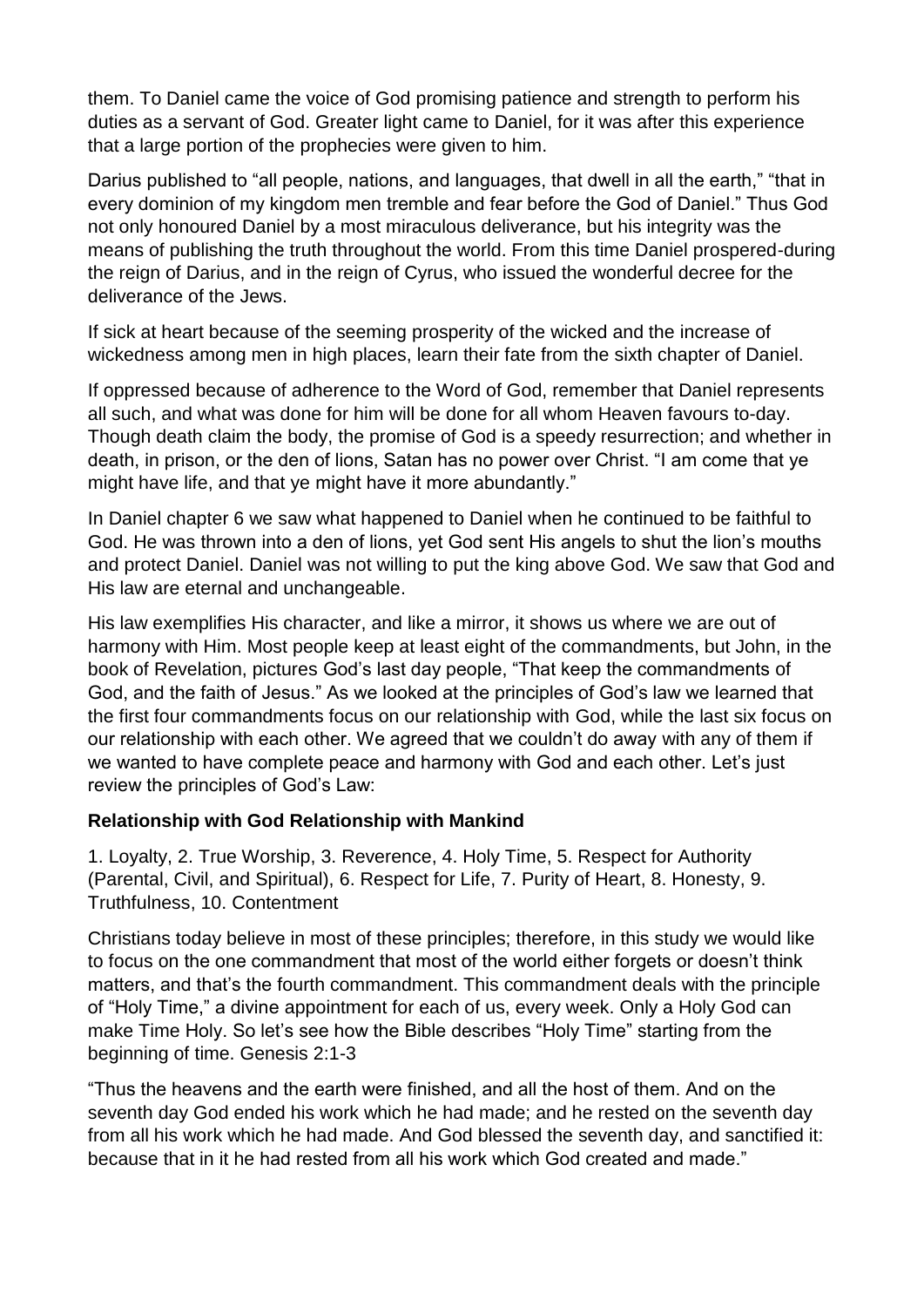them. To Daniel came the voice of God promising patience and strength to perform his duties as a servant of God. Greater light came to Daniel, for it was after this experience that a large portion of the prophecies were given to him.

Darius published to "all people, nations, and languages, that dwell in all the earth," "that in every dominion of my kingdom men tremble and fear before the God of Daniel." Thus God not only honoured Daniel by a most miraculous deliverance, but his integrity was the means of publishing the truth throughout the world. From this time Daniel prospered-during the reign of Darius, and in the reign of Cyrus, who issued the wonderful decree for the deliverance of the Jews.

If sick at heart because of the seeming prosperity of the wicked and the increase of wickedness among men in high places, learn their fate from the sixth chapter of Daniel.

If oppressed because of adherence to the Word of God, remember that Daniel represents all such, and what was done for him will be done for all whom Heaven favours to-day. Though death claim the body, the promise of God is a speedy resurrection; and whether in death, in prison, or the den of lions, Satan has no power over Christ. "I am come that ye might have life, and that ye might have it more abundantly."

In Daniel chapter 6 we saw what happened to Daniel when he continued to be faithful to God. He was thrown into a den of lions, yet God sent His angels to shut the lion's mouths and protect Daniel. Daniel was not willing to put the king above God. We saw that God and His law are eternal and unchangeable.

His law exemplifies His character, and like a mirror, it shows us where we are out of harmony with Him. Most people keep at least eight of the commandments, but John, in the book of Revelation, pictures God's last day people, "That keep the commandments of God, and the faith of Jesus." As we looked at the principles of God's law we learned that the first four commandments focus on our relationship with God, while the last six focus on our relationship with each other. We agreed that we couldn't do away with any of them if we wanted to have complete peace and harmony with God and each other. Let's just review the principles of God's Law:

### **Relationship with God Relationship with Mankind**

1. Loyalty, 2. True Worship, 3. Reverence, 4. Holy Time, 5. Respect for Authority (Parental, Civil, and Spiritual), 6. Respect for Life, 7. Purity of Heart, 8. Honesty, 9. Truthfulness, 10. Contentment

Christians today believe in most of these principles; therefore, in this study we would like to focus on the one commandment that most of the world either forgets or doesn't think matters, and that's the fourth commandment. This commandment deals with the principle of "Holy Time," a divine appointment for each of us, every week. Only a Holy God can make Time Holy. So let's see how the Bible describes "Holy Time" starting from the beginning of time. Genesis 2:1-3

"Thus the heavens and the earth were finished, and all the host of them. And on the seventh day God ended his work which he had made; and he rested on the seventh day from all his work which he had made. And God blessed the seventh day, and sanctified it: because that in it he had rested from all his work which God created and made."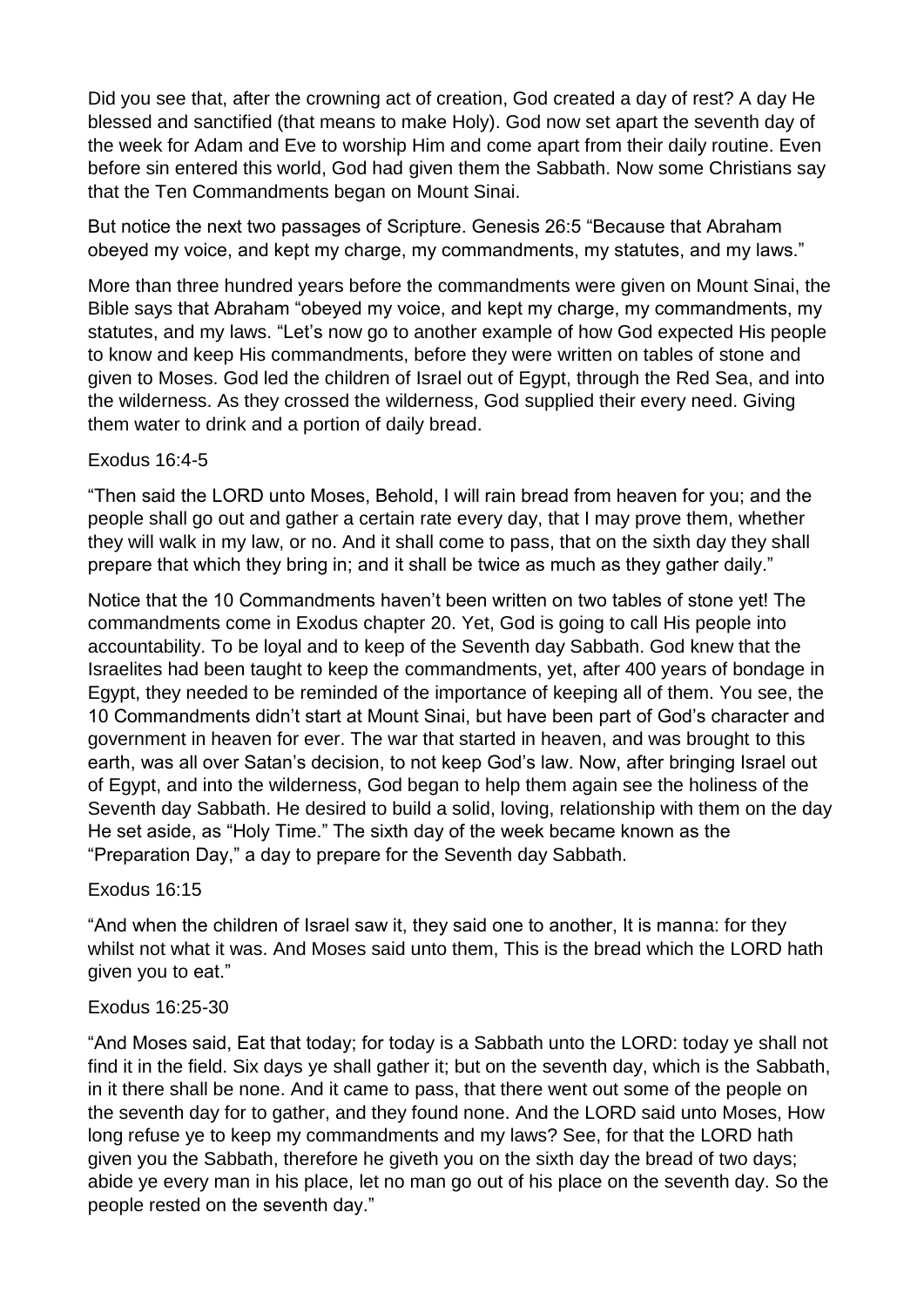Did you see that, after the crowning act of creation, God created a day of rest? A day He blessed and sanctified (that means to make Holy). God now set apart the seventh day of the week for Adam and Eve to worship Him and come apart from their daily routine. Even before sin entered this world, God had given them the Sabbath. Now some Christians say that the Ten Commandments began on Mount Sinai.

But notice the next two passages of Scripture. Genesis 26:5 "Because that Abraham obeyed my voice, and kept my charge, my commandments, my statutes, and my laws."

More than three hundred years before the commandments were given on Mount Sinai, the Bible says that Abraham "obeyed my voice, and kept my charge, my commandments, my statutes, and my laws. "Let's now go to another example of how God expected His people to know and keep His commandments, before they were written on tables of stone and given to Moses. God led the children of Israel out of Egypt, through the Red Sea, and into the wilderness. As they crossed the wilderness, God supplied their every need. Giving them water to drink and a portion of daily bread.

### Exodus 16:4-5

"Then said the LORD unto Moses, Behold, I will rain bread from heaven for you; and the people shall go out and gather a certain rate every day, that I may prove them, whether they will walk in my law, or no. And it shall come to pass, that on the sixth day they shall prepare that which they bring in; and it shall be twice as much as they gather daily."

Notice that the 10 Commandments haven't been written on two tables of stone yet! The commandments come in Exodus chapter 20. Yet, God is going to call His people into accountability. To be loyal and to keep of the Seventh day Sabbath. God knew that the Israelites had been taught to keep the commandments, yet, after 400 years of bondage in Egypt, they needed to be reminded of the importance of keeping all of them. You see, the 10 Commandments didn't start at Mount Sinai, but have been part of God's character and government in heaven for ever. The war that started in heaven, and was brought to this earth, was all over Satan's decision, to not keep God's law. Now, after bringing Israel out of Egypt, and into the wilderness, God began to help them again see the holiness of the Seventh day Sabbath. He desired to build a solid, loving, relationship with them on the day He set aside, as "Holy Time." The sixth day of the week became known as the "Preparation Day," a day to prepare for the Seventh day Sabbath.

### Exodus 16:15

"And when the children of Israel saw it, they said one to another, It is manna: for they whilst not what it was. And Moses said unto them, This is the bread which the LORD hath given you to eat."

#### Exodus 16:25-30

"And Moses said, Eat that today; for today is a Sabbath unto the LORD: today ye shall not find it in the field. Six days ye shall gather it; but on the seventh day, which is the Sabbath, in it there shall be none. And it came to pass, that there went out some of the people on the seventh day for to gather, and they found none. And the LORD said unto Moses, How long refuse ye to keep my commandments and my laws? See, for that the LORD hath given you the Sabbath, therefore he giveth you on the sixth day the bread of two days; abide ye every man in his place, let no man go out of his place on the seventh day. So the people rested on the seventh day."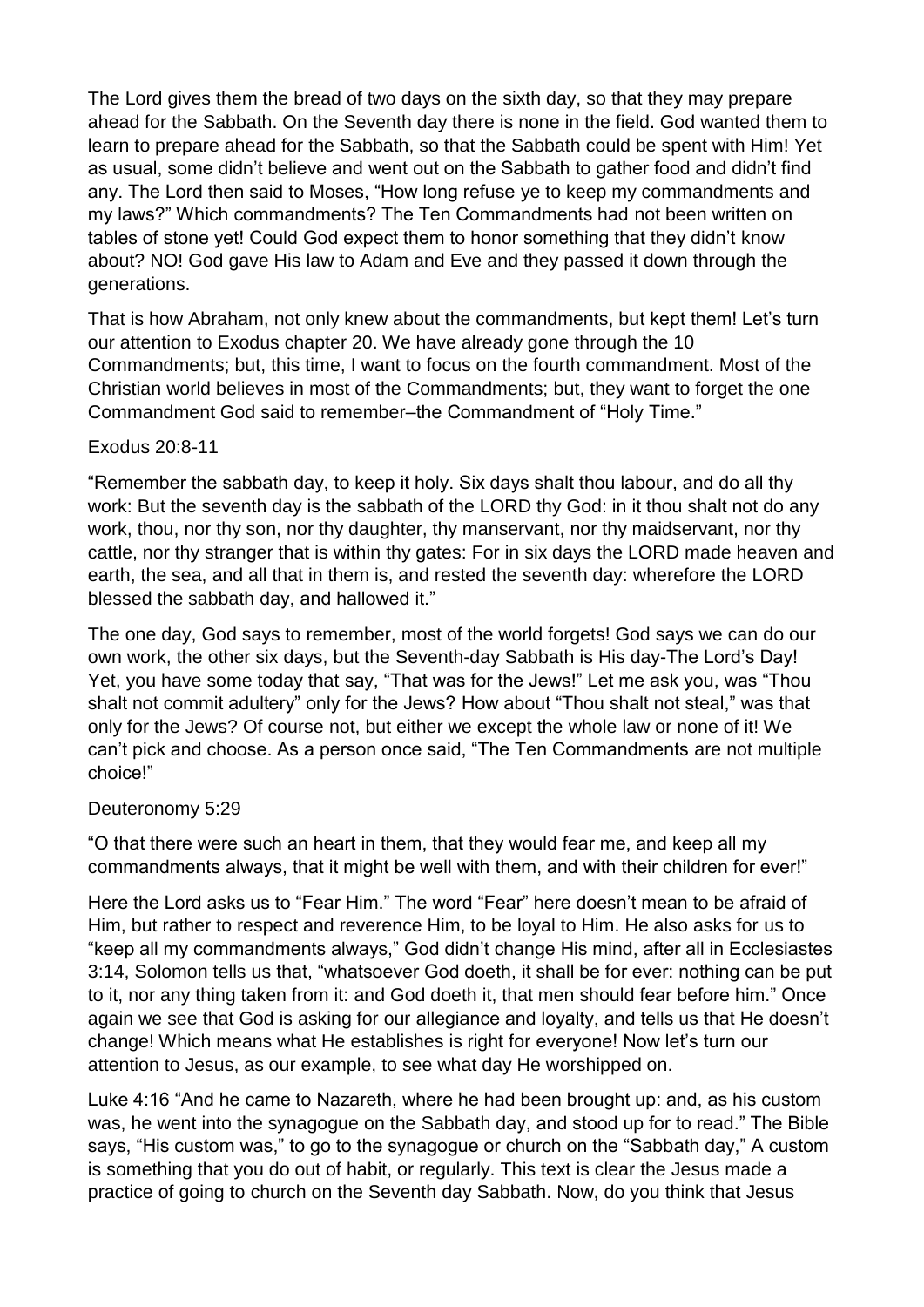The Lord gives them the bread of two days on the sixth day, so that they may prepare ahead for the Sabbath. On the Seventh day there is none in the field. God wanted them to learn to prepare ahead for the Sabbath, so that the Sabbath could be spent with Him! Yet as usual, some didn't believe and went out on the Sabbath to gather food and didn't find any. The Lord then said to Moses, "How long refuse ye to keep my commandments and my laws?" Which commandments? The Ten Commandments had not been written on tables of stone yet! Could God expect them to honor something that they didn't know about? NO! God gave His law to Adam and Eve and they passed it down through the generations.

That is how Abraham, not only knew about the commandments, but kept them! Let's turn our attention to Exodus chapter 20. We have already gone through the 10 Commandments; but, this time, I want to focus on the fourth commandment. Most of the Christian world believes in most of the Commandments; but, they want to forget the one Commandment God said to remember–the Commandment of "Holy Time."

### Exodus 20:8-11

"Remember the sabbath day, to keep it holy. Six days shalt thou labour, and do all thy work: But the seventh day is the sabbath of the LORD thy God: in it thou shalt not do any work, thou, nor thy son, nor thy daughter, thy manservant, nor thy maidservant, nor thy cattle, nor thy stranger that is within thy gates: For in six days the LORD made heaven and earth, the sea, and all that in them is, and rested the seventh day: wherefore the LORD blessed the sabbath day, and hallowed it."

The one day, God says to remember, most of the world forgets! God says we can do our own work, the other six days, but the Seventh-day Sabbath is His day-The Lord's Day! Yet, you have some today that say, "That was for the Jews!" Let me ask you, was "Thou shalt not commit adultery" only for the Jews? How about "Thou shalt not steal," was that only for the Jews? Of course not, but either we except the whole law or none of it! We can't pick and choose. As a person once said, "The Ten Commandments are not multiple choice!"

### Deuteronomy 5:29

"O that there were such an heart in them, that they would fear me, and keep all my commandments always, that it might be well with them, and with their children for ever!"

Here the Lord asks us to "Fear Him." The word "Fear" here doesn't mean to be afraid of Him, but rather to respect and reverence Him, to be loyal to Him. He also asks for us to "keep all my commandments always," God didn't change His mind, after all in Ecclesiastes 3:14, Solomon tells us that, "whatsoever God doeth, it shall be for ever: nothing can be put to it, nor any thing taken from it: and God doeth it, that men should fear before him." Once again we see that God is asking for our allegiance and loyalty, and tells us that He doesn't change! Which means what He establishes is right for everyone! Now let's turn our attention to Jesus, as our example, to see what day He worshipped on.

Luke 4:16 "And he came to Nazareth, where he had been brought up: and, as his custom was, he went into the synagogue on the Sabbath day, and stood up for to read." The Bible says, "His custom was," to go to the synagogue or church on the "Sabbath day," A custom is something that you do out of habit, or regularly. This text is clear the Jesus made a practice of going to church on the Seventh day Sabbath. Now, do you think that Jesus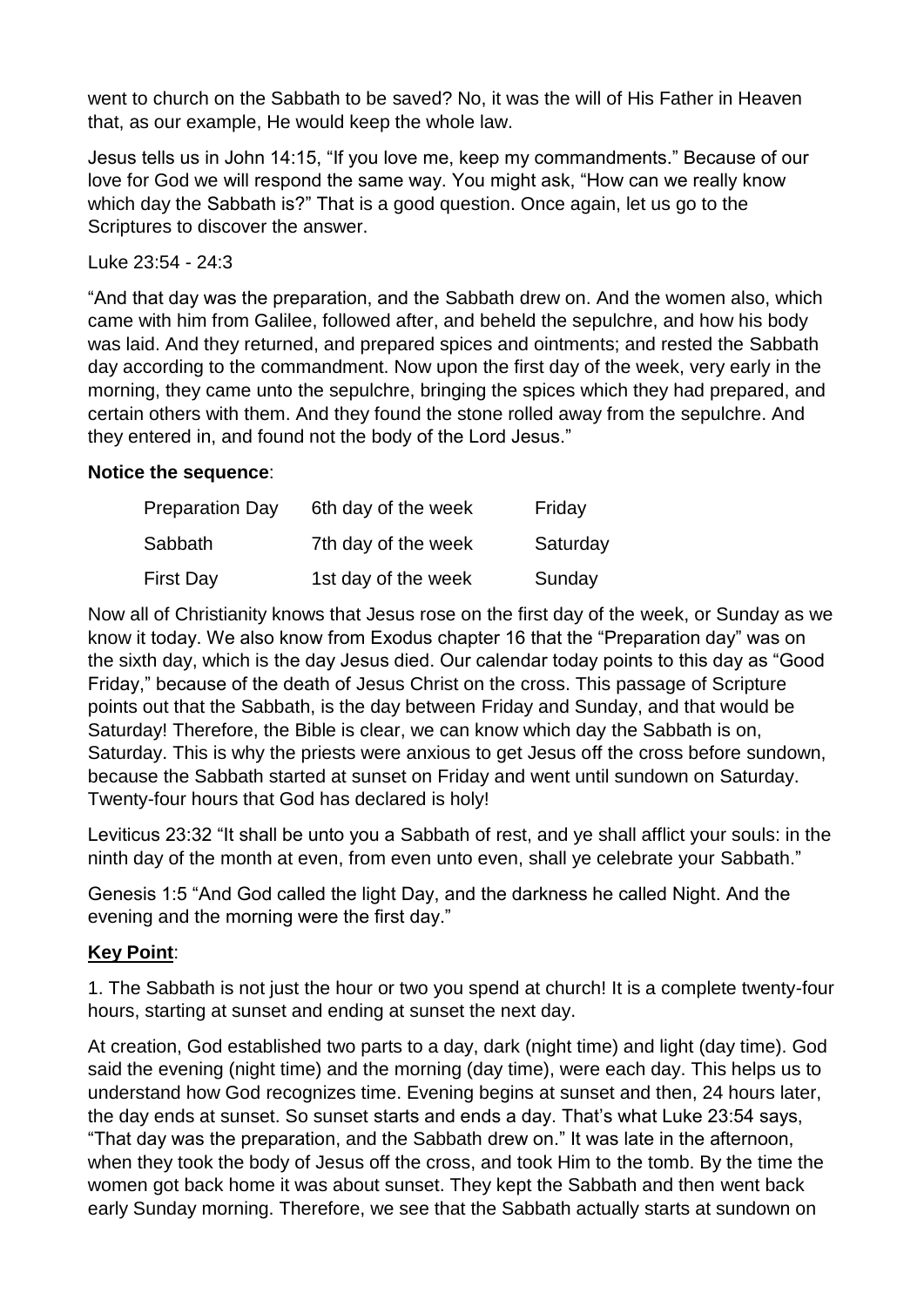went to church on the Sabbath to be saved? No, it was the will of His Father in Heaven that, as our example, He would keep the whole law.

Jesus tells us in John 14:15, "If you love me, keep my commandments." Because of our love for God we will respond the same way. You might ask, "How can we really know which day the Sabbath is?" That is a good question. Once again, let us go to the Scriptures to discover the answer.

### Luke 23:54 - 24:3

"And that day was the preparation, and the Sabbath drew on. And the women also, which came with him from Galilee, followed after, and beheld the sepulchre, and how his body was laid. And they returned, and prepared spices and ointments; and rested the Sabbath day according to the commandment. Now upon the first day of the week, very early in the morning, they came unto the sepulchre, bringing the spices which they had prepared, and certain others with them. And they found the stone rolled away from the sepulchre. And they entered in, and found not the body of the Lord Jesus."

### **Notice the sequence**:

| <b>Preparation Day</b> | 6th day of the week | Friday   |
|------------------------|---------------------|----------|
| Sabbath                | 7th day of the week | Saturday |
| First Day              | 1st day of the week | Sunday   |

Now all of Christianity knows that Jesus rose on the first day of the week, or Sunday as we know it today. We also know from Exodus chapter 16 that the "Preparation day" was on the sixth day, which is the day Jesus died. Our calendar today points to this day as "Good Friday," because of the death of Jesus Christ on the cross. This passage of Scripture points out that the Sabbath, is the day between Friday and Sunday, and that would be Saturday! Therefore, the Bible is clear, we can know which day the Sabbath is on, Saturday. This is why the priests were anxious to get Jesus off the cross before sundown, because the Sabbath started at sunset on Friday and went until sundown on Saturday. Twenty-four hours that God has declared is holy!

Leviticus 23:32 "It shall be unto you a Sabbath of rest, and ye shall afflict your souls: in the ninth day of the month at even, from even unto even, shall ye celebrate your Sabbath."

Genesis 1:5 "And God called the light Day, and the darkness he called Night. And the evening and the morning were the first day."

### **Key Point**:

1. The Sabbath is not just the hour or two you spend at church! It is a complete twenty-four hours, starting at sunset and ending at sunset the next day.

At creation, God established two parts to a day, dark (night time) and light (day time). God said the evening (night time) and the morning (day time), were each day. This helps us to understand how God recognizes time. Evening begins at sunset and then, 24 hours later, the day ends at sunset. So sunset starts and ends a day. That's what Luke 23:54 says, "That day was the preparation, and the Sabbath drew on." It was late in the afternoon, when they took the body of Jesus off the cross, and took Him to the tomb. By the time the women got back home it was about sunset. They kept the Sabbath and then went back early Sunday morning. Therefore, we see that the Sabbath actually starts at sundown on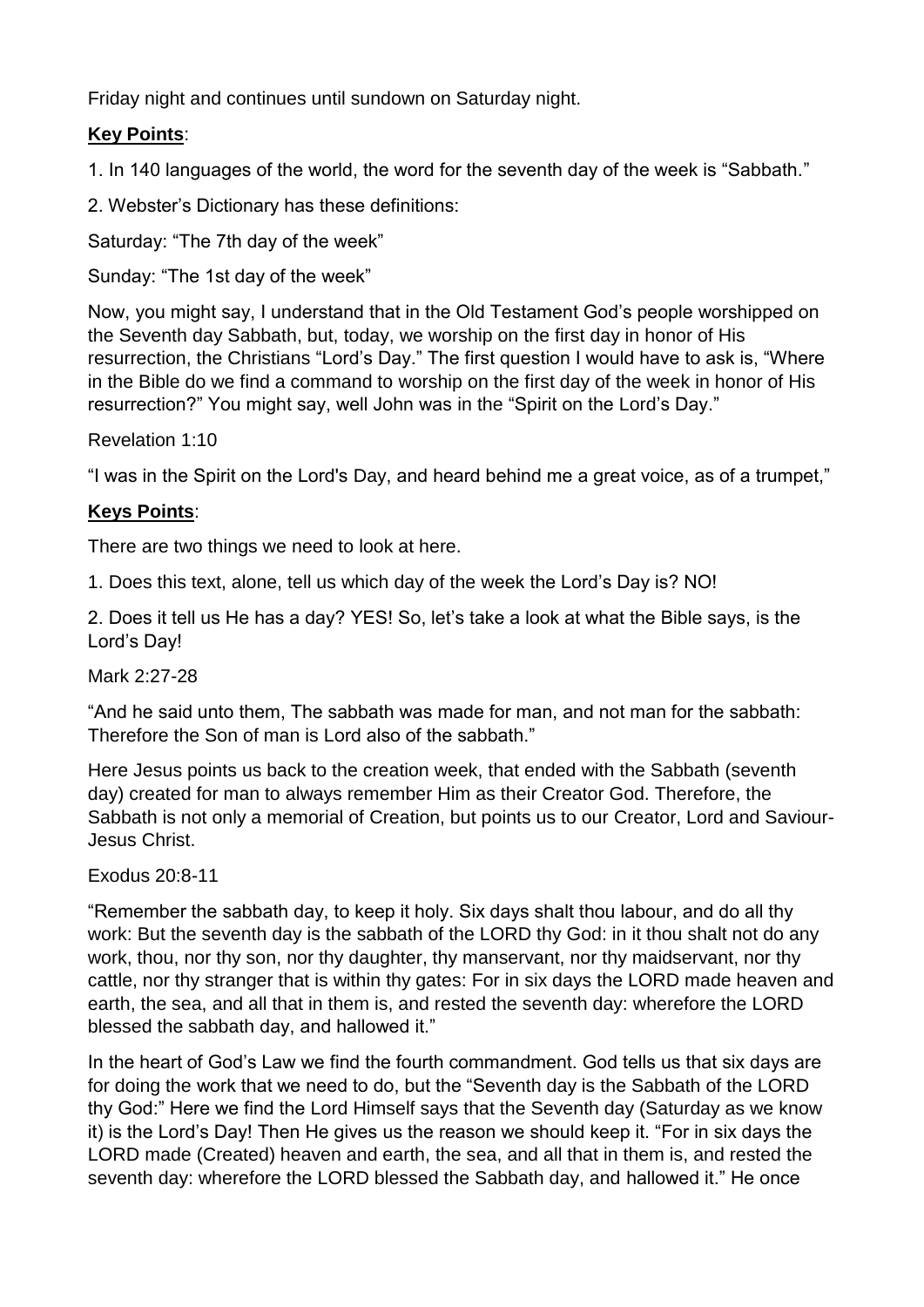Friday night and continues until sundown on Saturday night.

# **Key Points**:

1. In 140 languages of the world, the word for the seventh day of the week is "Sabbath."

2. Webster's Dictionary has these definitions:

Saturday: "The 7th day of the week"

Sunday: "The 1st day of the week"

Now, you might say, I understand that in the Old Testament God's people worshipped on the Seventh day Sabbath, but, today, we worship on the first day in honor of His resurrection, the Christians "Lord's Day." The first question I would have to ask is, "Where in the Bible do we find a command to worship on the first day of the week in honor of His resurrection?" You might say, well John was in the "Spirit on the Lord's Day."

Revelation 1:10

"I was in the Spirit on the Lord's Day, and heard behind me a great voice, as of a trumpet,"

# **Keys Points**:

There are two things we need to look at here.

1. Does this text, alone, tell us which day of the week the Lord's Day is? NO!

2. Does it tell us He has a day? YES! So, let's take a look at what the Bible says, is the Lord's Day!

# Mark 2:27-28

"And he said unto them, The sabbath was made for man, and not man for the sabbath: Therefore the Son of man is Lord also of the sabbath."

Here Jesus points us back to the creation week, that ended with the Sabbath (seventh day) created for man to always remember Him as their Creator God. Therefore, the Sabbath is not only a memorial of Creation, but points us to our Creator, Lord and Saviour-Jesus Christ.

# Exodus 20:8-11

"Remember the sabbath day, to keep it holy. Six days shalt thou labour, and do all thy work: But the seventh day is the sabbath of the LORD thy God: in it thou shalt not do any work, thou, nor thy son, nor thy daughter, thy manservant, nor thy maidservant, nor thy cattle, nor thy stranger that is within thy gates: For in six days the LORD made heaven and earth, the sea, and all that in them is, and rested the seventh day: wherefore the LORD blessed the sabbath day, and hallowed it."

In the heart of God's Law we find the fourth commandment. God tells us that six days are for doing the work that we need to do, but the "Seventh day is the Sabbath of the LORD thy God:" Here we find the Lord Himself says that the Seventh day (Saturday as we know it) is the Lord's Day! Then He gives us the reason we should keep it. "For in six days the LORD made (Created) heaven and earth, the sea, and all that in them is, and rested the seventh day: wherefore the LORD blessed the Sabbath day, and hallowed it." He once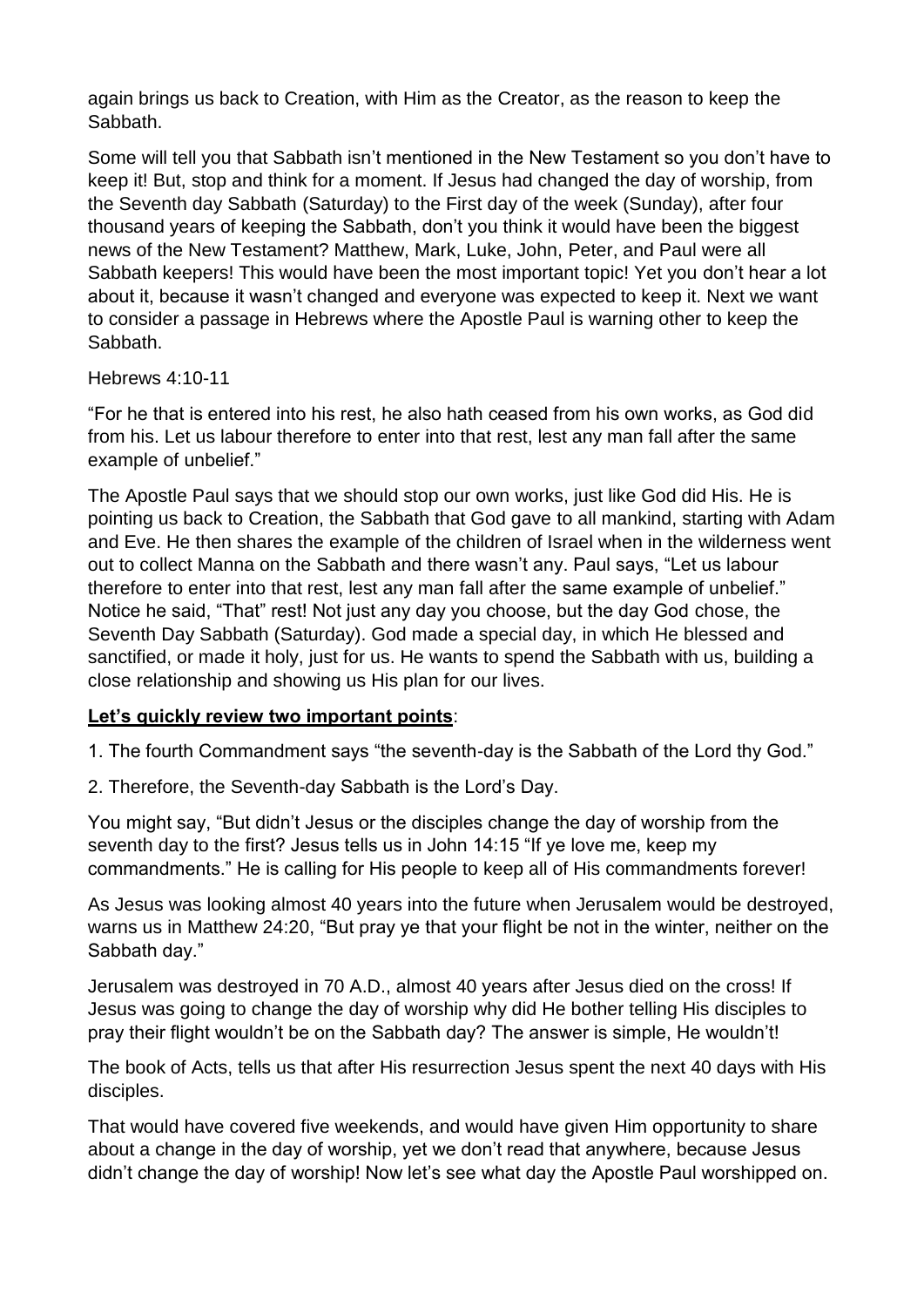again brings us back to Creation, with Him as the Creator, as the reason to keep the Sabbath.

Some will tell you that Sabbath isn't mentioned in the New Testament so you don't have to keep it! But, stop and think for a moment. If Jesus had changed the day of worship, from the Seventh day Sabbath (Saturday) to the First day of the week (Sunday), after four thousand years of keeping the Sabbath, don't you think it would have been the biggest news of the New Testament? Matthew, Mark, Luke, John, Peter, and Paul were all Sabbath keepers! This would have been the most important topic! Yet you don't hear a lot about it, because it wasn't changed and everyone was expected to keep it. Next we want to consider a passage in Hebrews where the Apostle Paul is warning other to keep the Sabbath.

### Hebrews 4:10-11

"For he that is entered into his rest, he also hath ceased from his own works, as God did from his. Let us labour therefore to enter into that rest, lest any man fall after the same example of unbelief."

The Apostle Paul says that we should stop our own works, just like God did His. He is pointing us back to Creation, the Sabbath that God gave to all mankind, starting with Adam and Eve. He then shares the example of the children of Israel when in the wilderness went out to collect Manna on the Sabbath and there wasn't any. Paul says, "Let us labour therefore to enter into that rest, lest any man fall after the same example of unbelief." Notice he said, "That" rest! Not just any day you choose, but the day God chose, the Seventh Day Sabbath (Saturday). God made a special day, in which He blessed and sanctified, or made it holy, just for us. He wants to spend the Sabbath with us, building a close relationship and showing us His plan for our lives.

### **Let's quickly review two important points**:

1. The fourth Commandment says "the seventh-day is the Sabbath of the Lord thy God."

2. Therefore, the Seventh-day Sabbath is the Lord's Day.

You might say, "But didn't Jesus or the disciples change the day of worship from the seventh day to the first? Jesus tells us in John 14:15 "If ye love me, keep my commandments." He is calling for His people to keep all of His commandments forever!

As Jesus was looking almost 40 years into the future when Jerusalem would be destroyed, warns us in Matthew 24:20, "But pray ye that your flight be not in the winter, neither on the Sabbath day."

Jerusalem was destroyed in 70 A.D., almost 40 years after Jesus died on the cross! If Jesus was going to change the day of worship why did He bother telling His disciples to pray their flight wouldn't be on the Sabbath day? The answer is simple, He wouldn't!

The book of Acts, tells us that after His resurrection Jesus spent the next 40 days with His disciples.

That would have covered five weekends, and would have given Him opportunity to share about a change in the day of worship, yet we don't read that anywhere, because Jesus didn't change the day of worship! Now let's see what day the Apostle Paul worshipped on.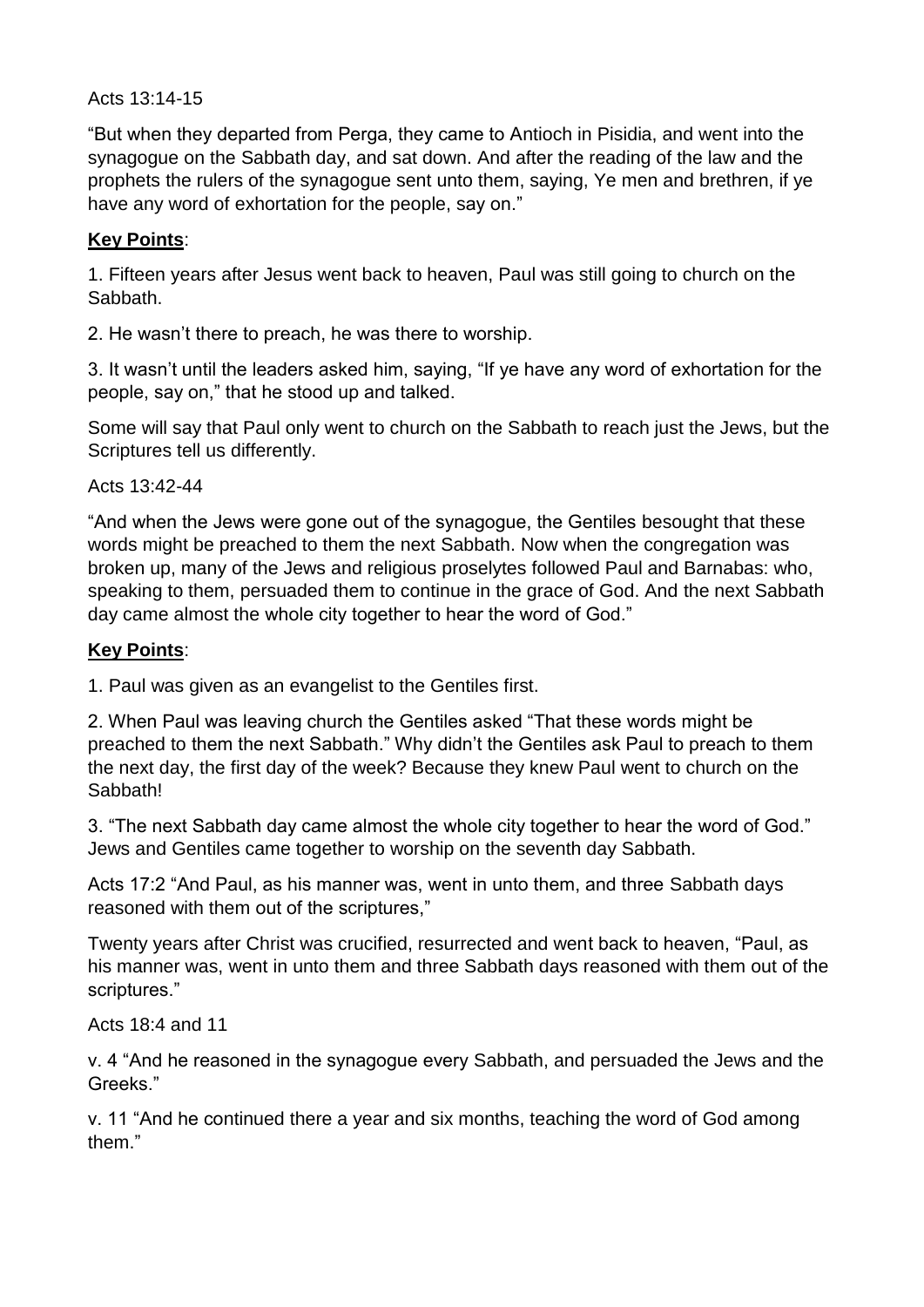### Acts 13:14-15

"But when they departed from Perga, they came to Antioch in Pisidia, and went into the synagogue on the Sabbath day, and sat down. And after the reading of the law and the prophets the rulers of the synagogue sent unto them, saying, Ye men and brethren, if ye have any word of exhortation for the people, say on."

#### **Key Points**:

1. Fifteen years after Jesus went back to heaven, Paul was still going to church on the Sabbath.

2. He wasn't there to preach, he was there to worship.

3. It wasn't until the leaders asked him, saying, "If ye have any word of exhortation for the people, say on," that he stood up and talked.

Some will say that Paul only went to church on the Sabbath to reach just the Jews, but the Scriptures tell us differently.

Acts 13:42-44

"And when the Jews were gone out of the synagogue, the Gentiles besought that these words might be preached to them the next Sabbath. Now when the congregation was broken up, many of the Jews and religious proselytes followed Paul and Barnabas: who, speaking to them, persuaded them to continue in the grace of God. And the next Sabbath day came almost the whole city together to hear the word of God."

### **Key Points**:

1. Paul was given as an evangelist to the Gentiles first.

2. When Paul was leaving church the Gentiles asked "That these words might be preached to them the next Sabbath." Why didn't the Gentiles ask Paul to preach to them the next day, the first day of the week? Because they knew Paul went to church on the Sabbath!

3. "The next Sabbath day came almost the whole city together to hear the word of God." Jews and Gentiles came together to worship on the seventh day Sabbath.

Acts 17:2 "And Paul, as his manner was, went in unto them, and three Sabbath days reasoned with them out of the scriptures,"

Twenty years after Christ was crucified, resurrected and went back to heaven, "Paul, as his manner was, went in unto them and three Sabbath days reasoned with them out of the scriptures."

#### Acts 18:4 and 11

v. 4 "And he reasoned in the synagogue every Sabbath, and persuaded the Jews and the Greeks."

v. 11 "And he continued there a year and six months, teaching the word of God among them."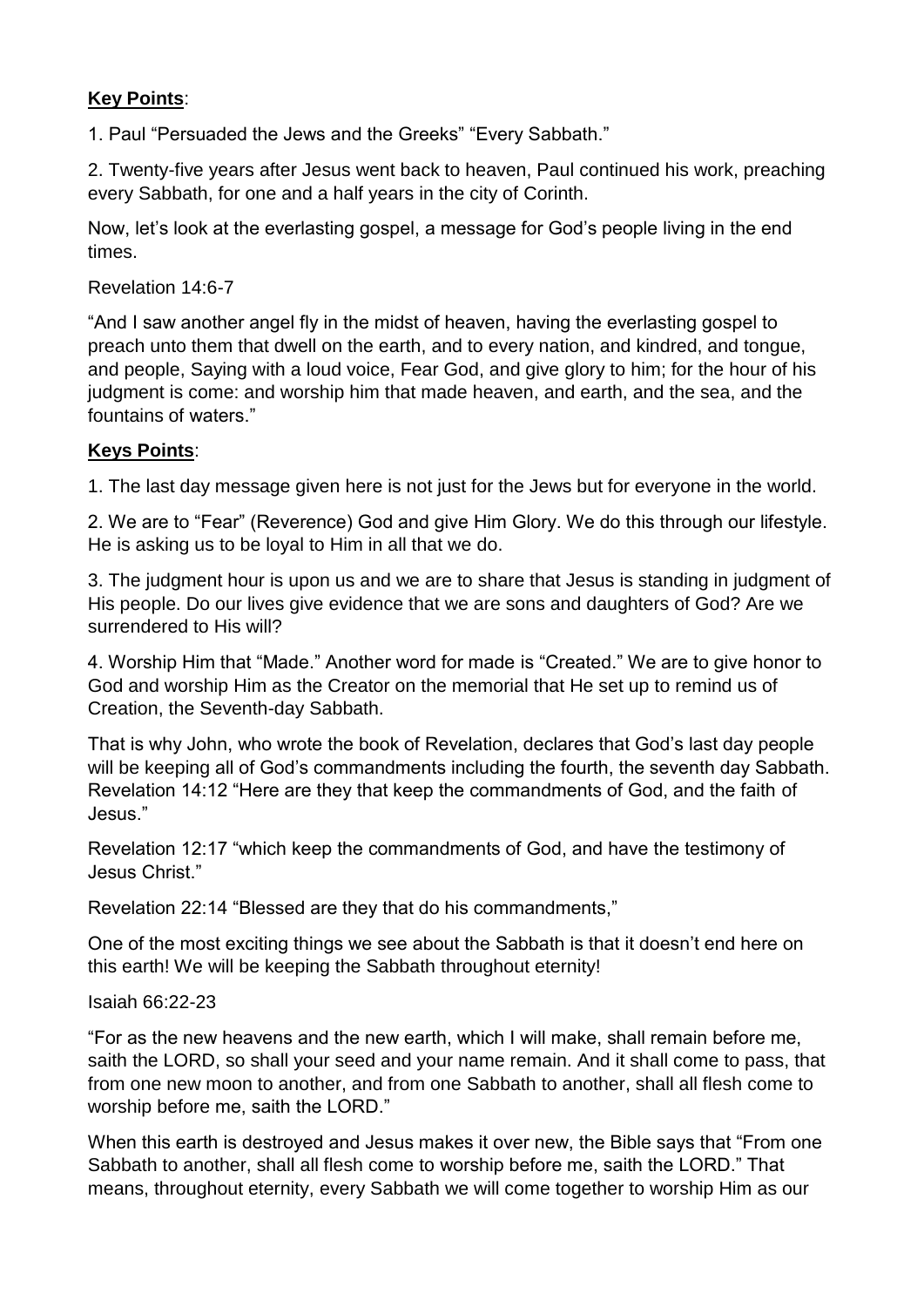### **Key Points**:

1. Paul "Persuaded the Jews and the Greeks" "Every Sabbath."

2. Twenty-five years after Jesus went back to heaven, Paul continued his work, preaching every Sabbath, for one and a half years in the city of Corinth.

Now, let's look at the everlasting gospel, a message for God's people living in the end times.

Revelation 14:6-7

"And I saw another angel fly in the midst of heaven, having the everlasting gospel to preach unto them that dwell on the earth, and to every nation, and kindred, and tongue, and people, Saying with a loud voice, Fear God, and give glory to him; for the hour of his judgment is come: and worship him that made heaven, and earth, and the sea, and the fountains of waters."

### **Keys Points**:

1. The last day message given here is not just for the Jews but for everyone in the world.

2. We are to "Fear" (Reverence) God and give Him Glory. We do this through our lifestyle. He is asking us to be loyal to Him in all that we do.

3. The judgment hour is upon us and we are to share that Jesus is standing in judgment of His people. Do our lives give evidence that we are sons and daughters of God? Are we surrendered to His will?

4. Worship Him that "Made." Another word for made is "Created." We are to give honor to God and worship Him as the Creator on the memorial that He set up to remind us of Creation, the Seventh-day Sabbath.

That is why John, who wrote the book of Revelation, declares that God's last day people will be keeping all of God's commandments including the fourth, the seventh day Sabbath. Revelation 14:12 "Here are they that keep the commandments of God, and the faith of Jesus."

Revelation 12:17 "which keep the commandments of God, and have the testimony of Jesus Christ."

Revelation 22:14 "Blessed are they that do his commandments,"

One of the most exciting things we see about the Sabbath is that it doesn't end here on this earth! We will be keeping the Sabbath throughout eternity!

#### Isaiah 66:22-23

"For as the new heavens and the new earth, which I will make, shall remain before me, saith the LORD, so shall your seed and your name remain. And it shall come to pass, that from one new moon to another, and from one Sabbath to another, shall all flesh come to worship before me, saith the LORD."

When this earth is destroyed and Jesus makes it over new, the Bible says that "From one Sabbath to another, shall all flesh come to worship before me, saith the LORD." That means, throughout eternity, every Sabbath we will come together to worship Him as our